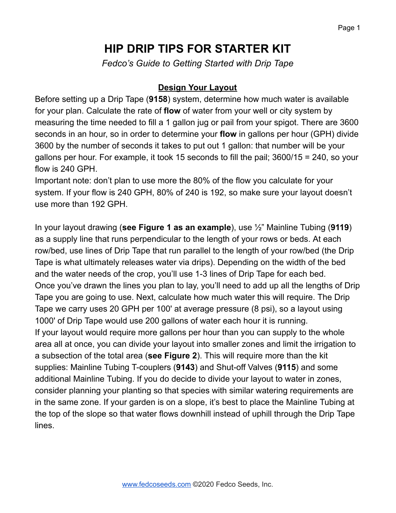# **HIP DRIP TIPS FOR STARTER KIT**

*Fedco's Guide to Getting Started with Drip Tape*

#### **Design Your Layout**

Before setting up a Drip Tape (**9158**) system, determine how much water is available for your plan. Calculate the rate of **flow** of water from your well or city system by measuring the time needed to fill a 1 gallon jug or pail from your spigot. There are 3600 seconds in an hour, so in order to determine your **flow** in gallons per hour (GPH) divide 3600 by the number of seconds it takes to put out 1 gallon: that number will be your gallons per hour. For example, it took 15 seconds to fill the pail; 3600/15 = 240, so your flow is 240 GPH.

Important note: don't plan to use more the 80% of the flow you calculate for your system. If your flow is 240 GPH, 80% of 240 is 192, so make sure your layout doesn't use more than 192 GPH.

In your layout drawing (**see Figure 1 as an example**), use ½" Mainline Tubing (**9119**) as a supply line that runs perpendicular to the length of your rows or beds. At each row/bed, use lines of Drip Tape that run parallel to the length of your row/bed (the Drip Tape is what ultimately releases water via drips). Depending on the width of the bed and the water needs of the crop, you'll use 1-3 lines of Drip Tape for each bed. Once you've drawn the lines you plan to lay, you'll need to add up all the lengths of Drip Tape you are going to use. Next, calculate how much water this will require. The Drip Tape we carry uses 20 GPH per 100' at average pressure (8 psi), so a layout using 1000' of Drip Tape would use 200 gallons of water each hour it is running. If your layout would require more gallons per hour than you can supply to the whole area all at once, you can divide your layout into smaller zones and limit the irrigation to a subsection of the total area (**see Figure 2**). This will require more than the kit supplies: Mainline Tubing T-couplers (**9143**) and Shut-off Valves (**9115**) and some additional Mainline Tubing. If you do decide to divide your layout to water in zones, consider planning your planting so that species with similar watering requirements are in the same zone. If your garden is on a slope, it's best to place the Mainline Tubing at the top of the slope so that water flows downhill instead of uphill through the Drip Tape lines.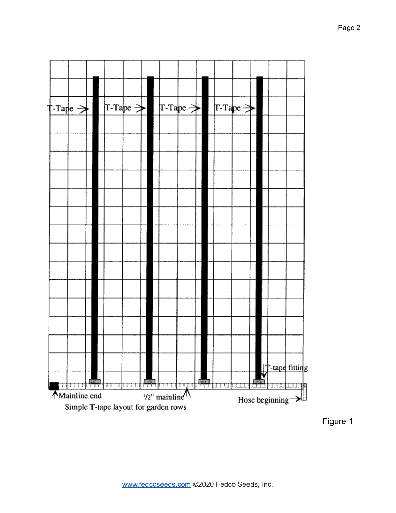

Figure 1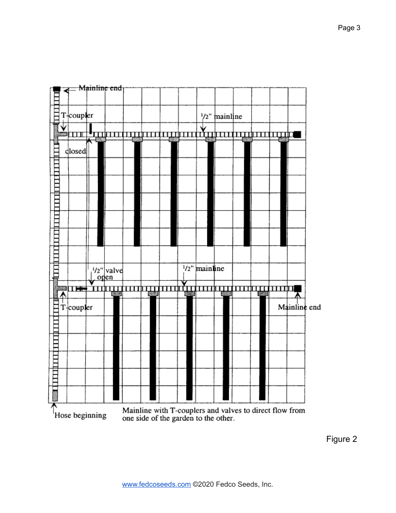

Figure 2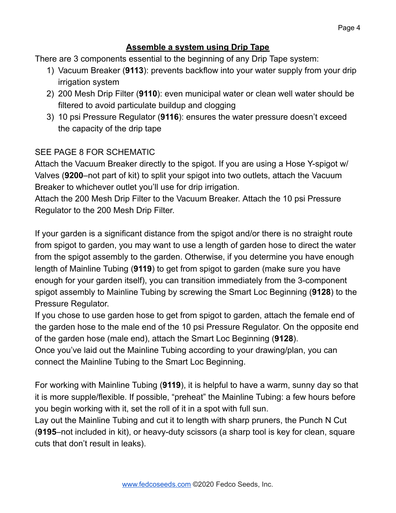#### **Assemble a system using Drip Tape**

There are 3 components essential to the beginning of any Drip Tape system:

- 1) Vacuum Breaker (**9113**): prevents backflow into your water supply from your drip irrigation system
- 2) 200 Mesh Drip Filter (**9110**): even municipal water or clean well water should be filtered to avoid particulate buildup and clogging
- 3) 10 psi Pressure Regulator (**9116**): ensures the water pressure doesn't exceed the capacity of the drip tape

#### SEE PAGE 8 FOR SCHEMATIC

Attach the Vacuum Breaker directly to the spigot. If you are using a Hose Y-spigot w/ Valves (**9200**–not part of kit) to split your spigot into two outlets, attach the Vacuum Breaker to whichever outlet you'll use for drip irrigation.

Attach the 200 Mesh Drip Filter to the Vacuum Breaker. Attach the 10 psi Pressure Regulator to the 200 Mesh Drip Filter.

If your garden is a significant distance from the spigot and/or there is no straight route from spigot to garden, you may want to use a length of garden hose to direct the water from the spigot assembly to the garden. Otherwise, if you determine you have enough length of Mainline Tubing (**9119**) to get from spigot to garden (make sure you have enough for your garden itself), you can transition immediately from the 3-component spigot assembly to Mainline Tubing by screwing the Smart Loc Beginning (**9128**) to the Pressure Regulator.

If you chose to use garden hose to get from spigot to garden, attach the female end of the garden hose to the male end of the 10 psi Pressure Regulator. On the opposite end of the garden hose (male end), attach the Smart Loc Beginning (**9128**).

Once you've laid out the Mainline Tubing according to your drawing/plan, you can connect the Mainline Tubing to the Smart Loc Beginning.

For working with Mainline Tubing (**9119**), it is helpful to have a warm, sunny day so that it is more supple/flexible. If possible, "preheat" the Mainline Tubing: a few hours before you begin working with it, set the roll of it in a spot with full sun.

Lay out the Mainline Tubing and cut it to length with sharp pruners, the Punch N Cut (**9195**–not included in kit), or heavy-duty scissors (a sharp tool is key for clean, square cuts that don't result in leaks).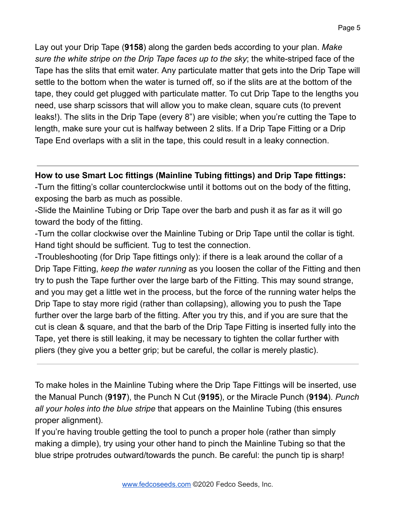Lay out your Drip Tape (**9158**) along the garden beds according to your plan. *Make sure the white stripe on the Drip Tape faces up to the sky*; the white-striped face of the Tape has the slits that emit water. Any particulate matter that gets into the Drip Tape will settle to the bottom when the water is turned off, so if the slits are at the bottom of the tape, they could get plugged with particulate matter. To cut Drip Tape to the lengths you need, use sharp scissors that will allow you to make clean, square cuts (to prevent leaks!). The slits in the Drip Tape (every 8") are visible; when you're cutting the Tape to length, make sure your cut is halfway between 2 slits. If a Drip Tape Fitting or a Drip Tape End overlaps with a slit in the tape, this could result in a leaky connection.

### **How to use Smart Loc fittings (Mainline Tubing fittings) and Drip Tape fittings:**

-Turn the fitting's collar counterclockwise until it bottoms out on the body of the fitting, exposing the barb as much as possible.

-Slide the Mainline Tubing or Drip Tape over the barb and push it as far as it will go toward the body of the fitting.

-Turn the collar clockwise over the Mainline Tubing or Drip Tape until the collar is tight. Hand tight should be sufficient. Tug to test the connection.

-Troubleshooting (for Drip Tape fittings only): if there is a leak around the collar of a Drip Tape Fitting, *keep the water running* as you loosen the collar of the Fitting and then try to push the Tape further over the large barb of the Fitting. This may sound strange, and you may get a little wet in the process, but the force of the running water helps the Drip Tape to stay more rigid (rather than collapsing), allowing you to push the Tape further over the large barb of the fitting. After you try this, and if you are sure that the cut is clean & square, and that the barb of the Drip Tape Fitting is inserted fully into the Tape, yet there is still leaking, it may be necessary to tighten the collar further with pliers (they give you a better grip; but be careful, the collar is merely plastic).

To make holes in the Mainline Tubing where the Drip Tape Fittings will be inserted, use the Manual Punch (**9197**), the Punch N Cut (**9195**), or the Miracle Punch (**9194**). *Punch all your holes into the blue stripe* that appears on the Mainline Tubing (this ensures proper alignment).

If you're having trouble getting the tool to punch a proper hole (rather than simply making a dimple), try using your other hand to pinch the Mainline Tubing so that the blue stripe protrudes outward/towards the punch. Be careful: the punch tip is sharp!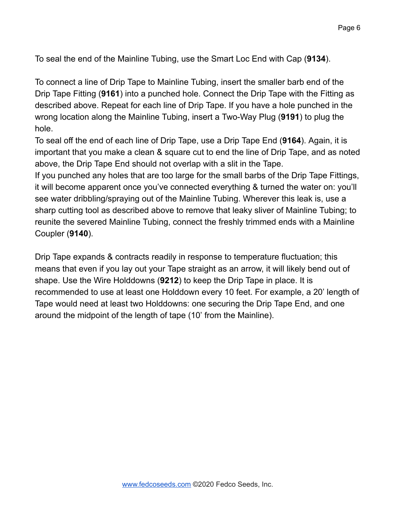To seal the end of the Mainline Tubing, use the Smart Loc End with Cap (**9134**).

To connect a line of Drip Tape to Mainline Tubing, insert the smaller barb end of the Drip Tape Fitting (**9161**) into a punched hole. Connect the Drip Tape with the Fitting as described above. Repeat for each line of Drip Tape. If you have a hole punched in the wrong location along the Mainline Tubing, insert a Two-Way Plug (**9191**) to plug the hole.

To seal off the end of each line of Drip Tape, use a Drip Tape End (**9164**). Again, it is important that you make a clean & square cut to end the line of Drip Tape, and as noted above, the Drip Tape End should not overlap with a slit in the Tape.

If you punched any holes that are too large for the small barbs of the Drip Tape Fittings, it will become apparent once you've connected everything & turned the water on: you'll see water dribbling/spraying out of the Mainline Tubing. Wherever this leak is, use a sharp cutting tool as described above to remove that leaky sliver of Mainline Tubing; to reunite the severed Mainline Tubing, connect the freshly trimmed ends with a Mainline Coupler (**9140**).

Drip Tape expands & contracts readily in response to temperature fluctuation; this means that even if you lay out your Tape straight as an arrow, it will likely bend out of shape. Use the Wire Holddowns (**9212**) to keep the Drip Tape in place. It is recommended to use at least one Holddown every 10 feet. For example, a 20' length of Tape would need at least two Holddowns: one securing the Drip Tape End, and one around the midpoint of the length of tape (10' from the Mainline).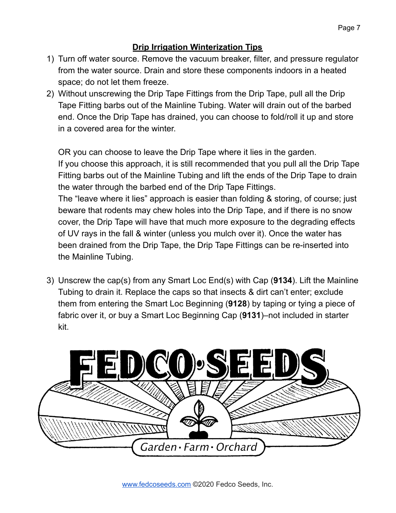## **Drip Irrigation Winterization Tips**

- 1) Turn off water source. Remove the vacuum breaker, filter, and pressure regulator from the water source. Drain and store these components indoors in a heated space; do not let them freeze.
- 2) Without unscrewing the Drip Tape Fittings from the Drip Tape, pull all the Drip Tape Fitting barbs out of the Mainline Tubing. Water will drain out of the barbed end. Once the Drip Tape has drained, you can choose to fold/roll it up and store in a covered area for the winter.

OR you can choose to leave the Drip Tape where it lies in the garden. If you choose this approach, it is still recommended that you pull all the Drip Tape Fitting barbs out of the Mainline Tubing and lift the ends of the Drip Tape to drain the water through the barbed end of the Drip Tape Fittings.

The "leave where it lies" approach is easier than folding & storing, of course; just beware that rodents may chew holes into the Drip Tape, and if there is no snow cover, the Drip Tape will have that much more exposure to the degrading effects of UV rays in the fall & winter (unless you mulch over it). Once the water has been drained from the Drip Tape, the Drip Tape Fittings can be re-inserted into the Mainline Tubing.

3) Unscrew the cap(s) from any Smart Loc End(s) with Cap (**9134**). Lift the Mainline Tubing to drain it. Replace the caps so that insects & dirt can't enter; exclude them from entering the Smart Loc Beginning (**9128**) by taping or tying a piece of fabric over it, or buy a Smart Loc Beginning Cap (**9131**)–not included in starter kit.